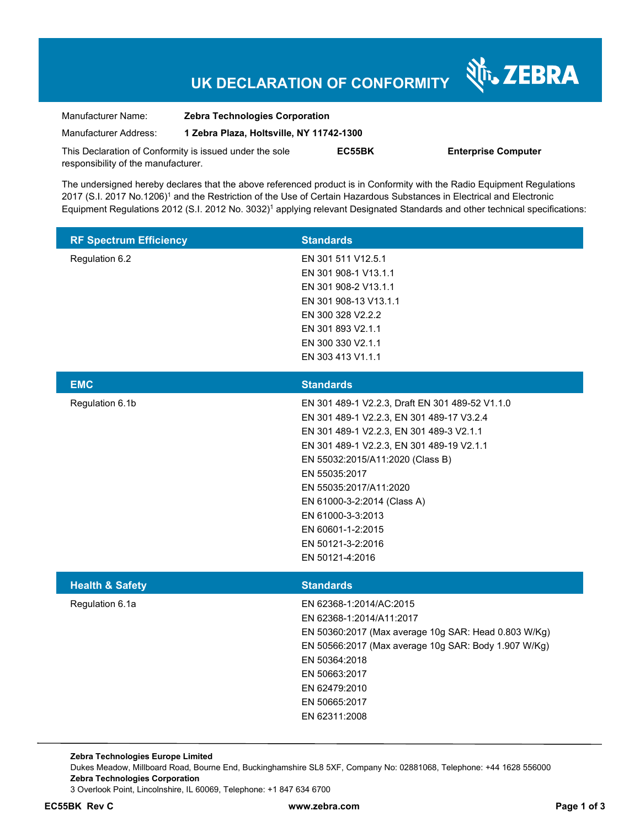## **UK DECLARATION OF CONFORMITY**

Nr. ZEBRA

| Manufacturer Name:                                      | <b>Zebra Technologies Corporation</b>    |        |                            |
|---------------------------------------------------------|------------------------------------------|--------|----------------------------|
| Manufacturer Address:                                   | 1 Zebra Plaza, Holtsville, NY 11742-1300 |        |                            |
| This Declaration of Conformity is issued under the sole |                                          | EC55BK | <b>Enterprise Computer</b> |
| responsibility of the manufacturer.                     |                                          |        |                            |

The undersigned hereby declares that the above referenced product is in Conformity with the Radio Equipment Regulations 2017 (S.I. 2017 No.1206)<sup>1</sup> and the Restriction of the Use of Certain Hazardous Substances in Electrical and Electronic Equipment Regulations 2012 (S.I. 2012 No. 3032)<sup>1</sup> applying relevant Designated Standards and other technical specifications:

| <b>RF Spectrum Efficiency</b> | <b>Standards</b>                                                                                                                                                                                                                                                                                                                                                                      |
|-------------------------------|---------------------------------------------------------------------------------------------------------------------------------------------------------------------------------------------------------------------------------------------------------------------------------------------------------------------------------------------------------------------------------------|
| Regulation 6.2                | EN 301 511 V12.5.1<br>EN 301 908-1 V13.1.1<br>EN 301 908-2 V13.1.1<br>EN 301 908-13 V13.1.1<br>EN 300 328 V2.2.2<br>EN 301 893 V2.1.1<br>EN 300 330 V2.1.1<br>EN 303 413 V1.1.1                                                                                                                                                                                                       |
| <b>EMC</b>                    | <b>Standards</b>                                                                                                                                                                                                                                                                                                                                                                      |
| Regulation 6.1b               | EN 301 489-1 V2.2.3, Draft EN 301 489-52 V1.1.0<br>EN 301 489-1 V2.2.3, EN 301 489-17 V3.2.4<br>EN 301 489-1 V2.2.3, EN 301 489-3 V2.1.1<br>EN 301 489-1 V2.2.3, EN 301 489-19 V2.1.1<br>EN 55032:2015/A11:2020 (Class B)<br>EN 55035:2017<br>EN 55035:2017/A11:2020<br>EN 61000-3-2:2014 (Class A)<br>EN 61000-3-3:2013<br>EN 60601-1-2:2015<br>EN 50121-3-2:2016<br>EN 50121-4:2016 |
| <b>Health &amp; Safety</b>    | <b>Standards</b>                                                                                                                                                                                                                                                                                                                                                                      |
| Regulation 6.1a               | EN 62368-1:2014/AC:2015<br>EN 62368-1:2014/A11:2017<br>EN 50360:2017 (Max average 10g SAR: Head 0.803 W/Kg)<br>EN 50566:2017 (Max average 10g SAR: Body 1.907 W/Kg)<br>EN 50364:2018<br>EN 50663:2017<br>EN 62479:2010<br>EN 50665:2017<br>EN 62311:2008                                                                                                                              |

**Zebra Technologies Europe Limited**  Dukes Meadow, Millboard Road, Bourne End, Buckinghamshire SL8 5XF, Company No: 02881068, Telephone: +44 1628 556000 **Zebra Technologies Corporation**  3 Overlook Point, Lincolnshire, IL 60069, Telephone: +1 847 634 6700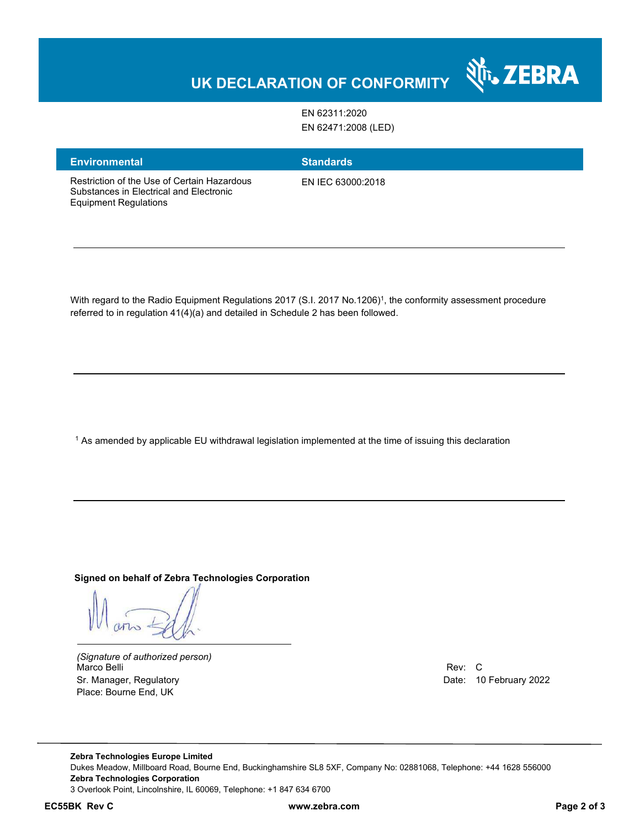## **UK DECLARATION OF CONFORMITY**

EN 62311:2020 EN 62471:2008 (LED)

| <b>Environmental</b> |  |  |
|----------------------|--|--|

EN IEC 63000:2018

**Standards** 

Restriction of the Use of Certain Hazardous Substances in Electrical and Electronic Equipment Regulations

With regard to the Radio Equipment Regulations 2017 (S.I. 2017 No.1206)<sup>1</sup>, the conformity assessment procedure referred to in regulation 41(4)(a) and detailed in Schedule 2 has been followed.

 $^{\rm 1}$  As amended by applicable EU withdrawal legislation implemented at the time of issuing this declaration

**Signed on behalf of Zebra Technologies Corporation** 

*(Signature of authorized person)* Marco Belli Rev: C Sr. Manager, Regulatory **Date: 10 February 2022** Place: Bourne End, UK

N<sub>i</sub>, ZEBRA

**Zebra Technologies Europe Limited**  Dukes Meadow, Millboard Road, Bourne End, Buckinghamshire SL8 5XF, Company No: 02881068, Telephone: +44 1628 556000 **Zebra Technologies Corporation**  3 Overlook Point, Lincolnshire, IL 60069, Telephone: +1 847 634 6700